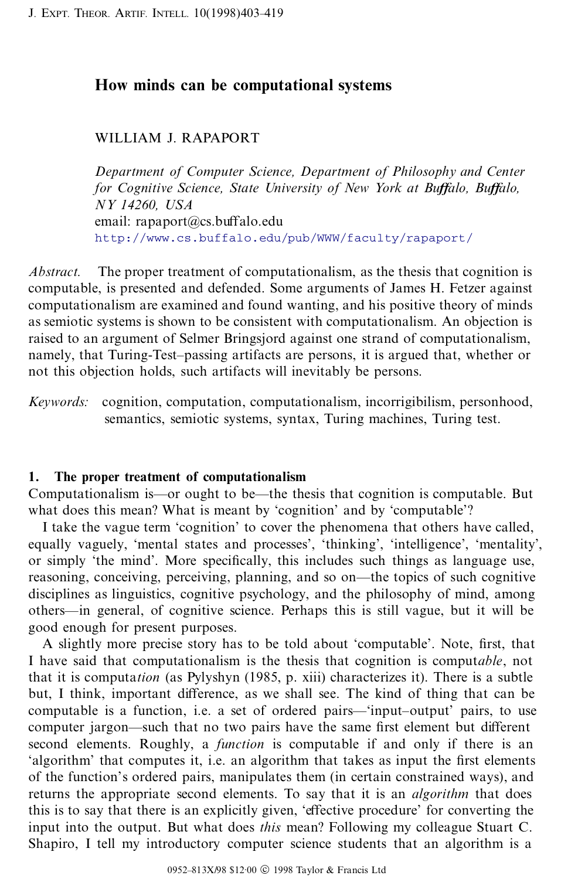# **How minds can be computational systems**

## WILLIAM J. RAPAPORT

*Department of Computer Science, Department of Philosophy and Center for Cognitive Science, State University of New York at Buffalo, Buffalo, NY 14260, USA* email: rapaport@cs.buffalo.edu <http://www.cs.buffalo.edu/pub/WWW/faculty/rapaport/>

*Abstract.* The proper treatment of computationalism, as the thesis that cognition is computable, is presented and defended. Some arguments of James H. Fetzer against computationalism are examined and found wanting, and his positive theory of minds as semiotic systems is shown to be consistent with computationalism. An objection is raised to an argument of Selmer Bringsjord against one strand of computationalism, namely, that Turing-Test-passing artifacts are persons, it is argued that, whether or not this objection holds, such artifacts will inevitably be persons.

*Keywords:* cognition, computation, computationalism, incorrigibilism, personhood, semantics, semiotic systems, syntax, Turing machines, Turing test.

## **1. The proper treatment of computationalism**

Computationalism is—or ought to be—the thesis that cognition is computable. But what does this mean? What is meant by 'cognition' and by 'computable'?

I take the vague term 'cognition' to cover the phenomena that others have called, equally vaguely, 'mental states and processes', 'thinking', 'intelligence', 'mentality', or simply 'the mind'. More specifically, this includes such things as language use, reasoning, conceiving, perceiving, planning, and so on—the topics of such cognitive disciplines as linguistics, cognitive psychology, and the philosophy of mind, among othersÐin general, of cognitive science. Perhaps this is still vague, but it will be good enough for present purposes.

A slightly more precise story has to be told about 'computable'. Note, first, that I have said that computationalism is the thesis that cognition is comput*able*, not that it is computa*tion* (as Pylyshyn (1985, p. xiii) characterizes it). There is a subtle but, I think, important difference, as we shall see. The kind of thing that can be computable is a function, i.e. a set of ordered pairs—'input-output' pairs, to use computer jargon—such that no two pairs have the same first element but different second elements. Roughly, a *function* is computable if and only if there is an 'algorithm' that computes it, i.e. an algorithm that takes as input the first elements of the function's ordered pairs, manipulates them (in certain constrained ways), and returns the appropriate second elements. To say that it is an *algorithm* that does this is to say that there is an explicitly given, 'effective procedure' for converting the input into the output. But what does *this* mean? Following my colleague Stuart C. Shapiro, I tell my introductory computer science students that an algorithm is a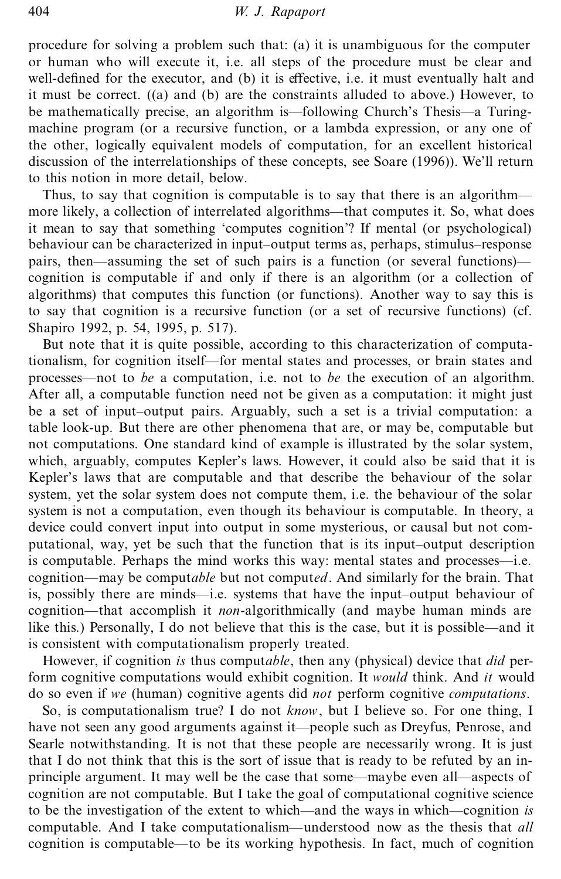procedure for solving a problem such that: (a) it is unambiguous for the computer or human who will execute it, i.e. all steps of the procedure must be clear and well-defined for the executor, and (b) it is effective, i.e. it must eventually halt and it must be correct. ((a) and (b) are the constraints alluded to above.) However, to be mathematically precise, an algorithm is—following Church's Thesis—a Turingmachine program (or a recursive function, or a lambda expression, or any one of the other, logically equivalent models of computation, for an excellent historical discussion of the interrelationships of these concepts, see Soare (1996)). We'll return to this notion in more detail, below.

Thus, to say that cognition is computable is to say that there is an algorithm more likely, a collection of interrelated algorithms—that computes it. So, what does it mean to say that something `computes cognition'? If mental (or psychological) behaviour can be characterized in input-output terms as, perhaps, stimulus-response pairs, then—assuming the set of such pairs is a function (or several functions) cognition is computable if and only if there is an algorithm (or a collection of algorithms) that computes this function (or functions). Another way to say this is to say that cognition is a recursive function (or a set of recursive functions) (cf. Shapiro 1992, p. 54, 1995, p. 517).

But note that it is quite possible, according to this characterization of computationalism, for cognition itself—for mental states and processes, or brain states and processes—not to *be* a computation, i.e. not to *be* the execution of an algorithm. After all, a computable function need not be given as a computation: it might just be a set of input-output pairs. Arguably, such a set is a trivial computation: a table look-up. But there are other phenomena that are, or may be, computable but not computations. One standard kind of example is illustrated by the solar system, which, arguably, computes Kepler's laws. However, it could also be said that it is Kepler's laws that are computable and that describe the behaviour of the solar system, yet the solar system does not compute them, i.e. the behaviour of the solar system is not a computation, even though its behaviour is computable. In theory, a device could convert input into output in some mysterious, or causal but not computational, way, yet be such that the function that is its input-output description is computable. Perhaps the mind works this way: mental states and processes—i.e. cognition—may be computable but not computed. And similarly for the brain. That is, possibly there are minds—i.e. systems that have the input-output behaviour of cognition—that accomplish it *non*-algorithmically (and maybe human minds are like this.) Personally, I do not believe that this is the case, but it is possible—and it is consistent with computationalism properly treated.

However, if cognition *is* thus comput*able*, then any (physical) device that *did* perform cognitive computations would exhibit cognition. It *would* think. And *it* would do so even if *we* (human) cognitive agents did *not* perform cognitive *computations*.

So, is computationalism true? I do not *know*, but I believe so. For one thing, I have not seen any good arguments against it—people such as Dreyfus, Penrose, and Searle notwithstanding. It is not that these people are necessarily wrong. It is just that I do not think that this is the sort of issue that is ready to be refuted by an inprinciple argument. It may well be the case that some—maybe even all—aspects of cognition are not computable. But I take the goal of computational cognitive science to be the investigation of the extent to which—and the ways in which—cognition *is* computable. And I take computationalism—understood now as the thesis that *all* cognition is computable—to be its working hypothesis. In fact, much of cognition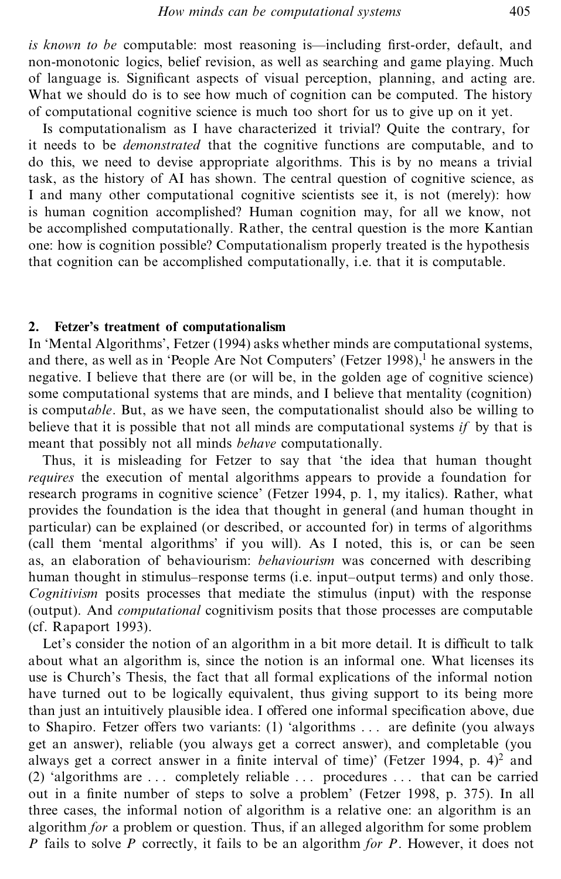*is known to be* computable: most reasoning is—including first-order, default, and non-monotonic logics, belief revision, as well as searching and game playing. Much of language is. Significant aspects of visual perception, planning, and acting are. What we should do is to see how much of cognition can be computed. The history of computational cognitive science is much too short for us to give up on it yet.

Is computationalism as I have characterized it trivial? Quite the contrary, for it needs to be *demonstrated* that the cognitive functions are computable, and to do this, we need to devise appropriate algorithms. This is by no means a trivial task, as the history of AI has shown. The central question of cognitive science, as I and many other computational cognitive scientists see it, is not (merely): how is human cognition accomplished? Human cognition may, for all we know, not be accomplished computationally. Rather, the central question is the more Kantian one: how is cognition possible? Computationalism properly treated is the hypothesis that cognition can be accomplished computationally, i.e. that it is computable.

### **2. Fetzer's treatment of computationalism**

In `Mental Algorithms', Fetzer (1994) asks whether minds are computational systems, and there, as well as in 'People Are Not Computers' (Fetzer 1998), $<sup>1</sup>$  he answers in the</sup> negative. I believe that there are (or will be, in the golden age of cognitive science) some computational systems that are minds, and I believe that mentality (cognition) is comput*able*. But, as we have seen, the computationalist should also be willing to believe that it is possible that not all minds are computational systems *if* by that is meant that possibly not all minds *behave* computationally.

Thus, it is misleading for Fetzer to say that `the idea that human thought *requires* the execution of mental algorithms appears to provide a foundation for research programs in cognitive science' (Fetzer 1994, p. 1, my italics). Rather, what provides the foundation is the idea that thought in general (and human thought in particular) can be explained (or described, or accounted for) in terms of algorithms (call them `mental algorithms' if you will). As I noted, this is, or can be seen as, an elaboration of behaviourism: *behaviourism* was concerned with describing human thought in stimulus–response terms (i.e. input–output terms) and only those. *Cognitivism* posits processes that mediate the stimulus (input) with the response (output). And *computational* cognitivism posits that those processes are computable (cf. Rapaport 1993).

Let's consider the notion of an algorithm in a bit more detail. It is difficult to talk about what an algorithm is, since the notion is an informal one. What licenses its use is Church's Thesis, the fact that all formal explications of the informal notion have turned out to be logically equivalent, thus giving support to its being more than just an intuitively plausible idea. I offered one informal specification above, due to Shapiro. Fetzer offers two variants: (1) 'algorithms . . . are definite (you always get an answer), reliable (you always get a correct answer), and completable (you always get a correct answer in a finite interval of time)' (Fetzer 1994, p. 4)<sup>2</sup> and (2) `algorithms are . . . completely reliable . . . procedures . . . that can be carried out in a finite number of steps to solve a problem' (Fetzer 1998, p. 375). In all three cases, the informal notion of algorithm is a relative one: an algorithm is an algorithm *for* a problem or question. Thus, if an alleged algorithm for some problem *P* fails to solve *P* correctly, it fails to be an algorithm *for P*. However, it does not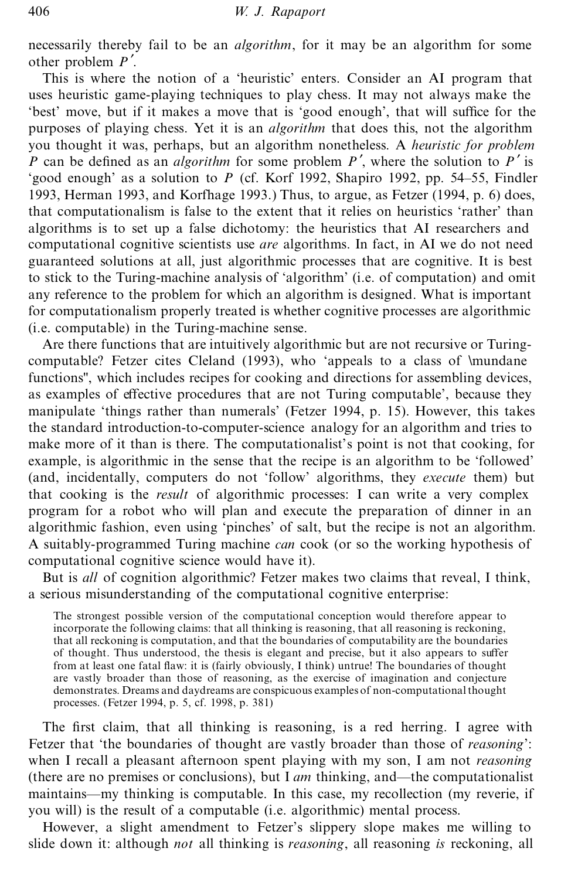necessarily thereby fail to be an *algorithm*, for it may be an algorithm for some other problem P'.

This is where the notion of a 'heuristic' enters. Consider an AI program that uses heuristic game-playing techniques to play chess. It may not always make the 'best' move, but if it makes a move that is 'good enough', that will suffice for the purposes of playing chess. Yet it is an *algorithm* that does this, not the algorithm you thought it was, perhaps, but an algorithm nonetheless. A *heuristic for problem P* can be defined as an *algorithm* for some problem *P'*, where the solution to *P'* is 'good enough' as a solution to  $P$  (cf. Korf 1992, Shapiro 1992, pp. 54–55, Findler 1993, Herman 1993, and Korfhage 1993.) Thus, to argue, as Fetzer (1994, p. 6) does, that computationalism is false to the extent that it relies on heuristics `rather' than algorithms is to set up a false dichotomy: the heuristics that AI researchers and computational cognitive scientists use *are* algorithms. In fact, in AI we do not need guaranteed solutions at all, just algorithmic processes that are cognitive. It is best to stick to the Turing-machine analysis of `algorithm' (i.e. of computation) and omit any reference to the problem for which an algorithm is designed. What is important for computationalism properly treated is whether cognitive processes are algorithmic (i.e. computable) in the Turing-machine sense.

Are there functions that are intuitively algorithmic but are not recursive or Turingcomputable? Fetzer cites Cleland (1993), who `appeals to a class of \mundane functions", which includes recipes for cooking and directions for assembling devices, as examples of effective procedures that are not Turing computable', because they manipulate `things rather than numerals' (Fetzer 1994, p. 15). However, this takes the standard introduction-to-computer-science analogy for an algorithm and tries to make more of it than is there. The computationalist's point is not that cooking, for example, is algorithmic in the sense that the recipe is an algorithm to be 'followed' (and, incidentally, computers do not `follow' algorithms, they *execute* them) but that cooking is the *result* of algorithmic processes: I can write a very complex program for a robot who will plan and execute the preparation of dinner in an algorithmic fashion, even using `pinches' of salt, but the recipe is not an algorithm. A suitably-programmed Turing machine *can* cook (or so the working hypothesis of computational cognitive science would have it).

But is *all* of cognition algorithmic? Fetzer makes two claims that reveal, I think, a serious misunderstanding of the computational cognitive enterprise:

The strongest possible version of the computational conception would therefore appear to incorporate the following claims: that all thinking is reasoning, that all reasoning is reckoning, that all reckoning is computation, and that the boundaries of computability are the boundaries of thought. Thus understood, the thesis is elegant and precise, but it also appears to suffer from at least one fatal flaw: it is (fairly obviously, I think) untrue! The boundaries of thought are vastly broader than those of reasoning, as the exercise of imagination and conjecture demonstrates. Dreams and daydreams are conspicuous examples of non-computationalthought processes. (Fetzer 1994, p. 5, cf. 1998, p. 381)

The first claim, that all thinking is reasoning, is a red herring. I agree with Fetzer that `the boundaries of thought are vastly broader than those of *reasoning*': when I recall a pleasant afternoon spent playing with my son, I am not *reasoning* (there are no premises or conclusions), but  $\overline{I}$  *am* thinking, and—the computationalist maintains—my thinking is computable. In this case, my recollection (my reverie, if you will) is the result of a computable (i.e. algorithmic) mental process.

However, a slight amendment to Fetzer's slippery slope makes me willing to slide down it: although *not* all thinking is *reasoning*, all reasoning *is* reckoning, all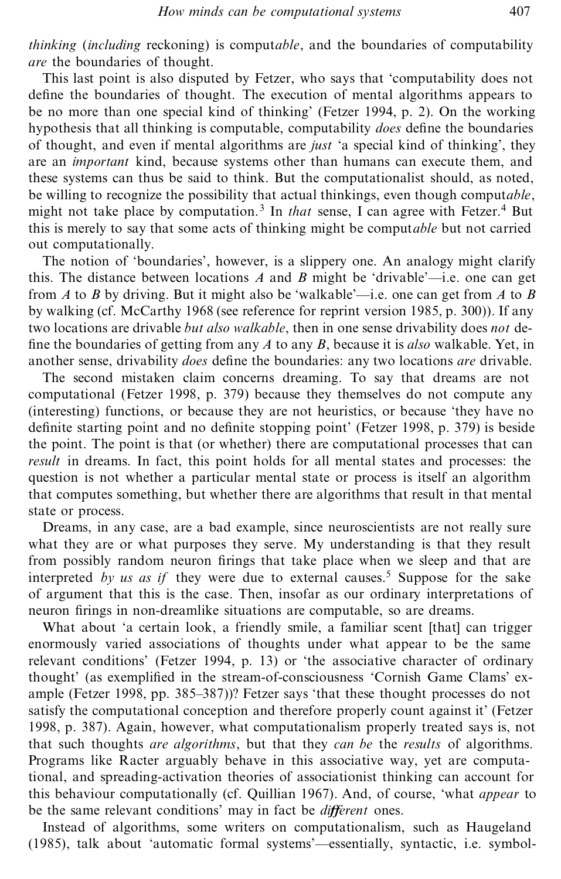*thinking* (*including* reckoning) is comput*able*, and the boundaries of computability *are* the boundaries of thought.

This last point is also disputed by Fetzer, who says that 'computability does not define the boundaries of thought. The execution of mental algorithms appears to be no more than one special kind of thinking' (Fetzer 1994, p. 2). On the working hypothesis that all thinking is computable, computability *does* define the boundaries of thought, and even if mental algorithms are *just* `a special kind of thinking', they are an *important* kind, because systems other than humans can execute them, and these systems can thus be said to think. But the computationalist should, as noted, be willing to recognize the possibility that actual thinkings, even though comput*able*, might not take place by computation.<sup>3</sup> In *that* sense, I can agree with Fetzer.<sup>4</sup> But this is merely to say that some acts of thinking might be comput*able* but not carried out computationally.

The notion of 'boundaries', however, is a slippery one. An analogy might clarify this. The distance between locations  $A$  and  $B$  might be 'drivable'—i.e. one can get from *A* to *B* by driving. But it might also be 'walkable'—i.e. one can get from *A* to *B* by walking (cf. McCarthy 1968 (see reference for reprint version 1985, p. 300)). If any two locations are drivable *but also walkable*, then in one sense drivability does *not* de fine the boundaries of getting from any  $A$  to any  $B$ , because it is *also* walkable. Yet, in another sense, drivability *does* define the boundaries: any two locations *are* drivable.

The second mistaken claim concerns dreaming. To say that dreams are not computational (Fetzer 1998, p. 379) because they themselves do not compute any (interesting) functions, or because they are not heuristics, or because `they have no definite starting point and no definite stopping point' (Fetzer 1998, p. 379) is beside the point. The point is that (or whether) there are computational processes that can *result* in dreams. In fact, this point holds for all mental states and processes: the question is not whether a particular mental state or process is itself an algorithm that computes something, but whether there are algorithms that result in that mental state or process.

Dreams, in any case, are a bad example, since neuroscientists are not really sure what they are or what purposes they serve. My understanding is that they result from possibly random neuron firings that take place when we sleep and that are interpreted *by us as if* they were due to external causes.<sup>5</sup> Suppose for the sake of argument that this is the case. Then, insofar as our ordinary interpretations of neuron firings in non-dreamlike situations are computable, so are dreams.

What about 'a certain look, a friendly smile, a familiar scent [that] can trigger enormously varied associations of thoughts under what appear to be the same relevant conditions' (Fetzer 1994, p. 13) or 'the associative character of ordinary thought' (as exemplified in the stream-of-consciousness 'Cornish Game Clams' example (Fetzer 1998, pp. 385–387))? Fetzer says 'that these thought processes do not satisfy the computational conception and therefore properly count against it' (Fetzer 1998, p. 387). Again, however, what computationalism properly treated says is, not that such thoughts *are algorithms*, but that they *can be* the *results* of algorithms. Programs like Racter arguably behave in this associative way, yet are computational, and spreading-activation theories of associationist thinking can account for this behaviour computationally (cf. Quillian 1967). And, of course, `what *appear* to be the same relevant conditions' may in fact be *different* ones.

Instead of algorithms, some writers on computationalism, such as Haugeland (1985), talk about 'automatic formal systems'—essentially, syntactic, i.e. symbol-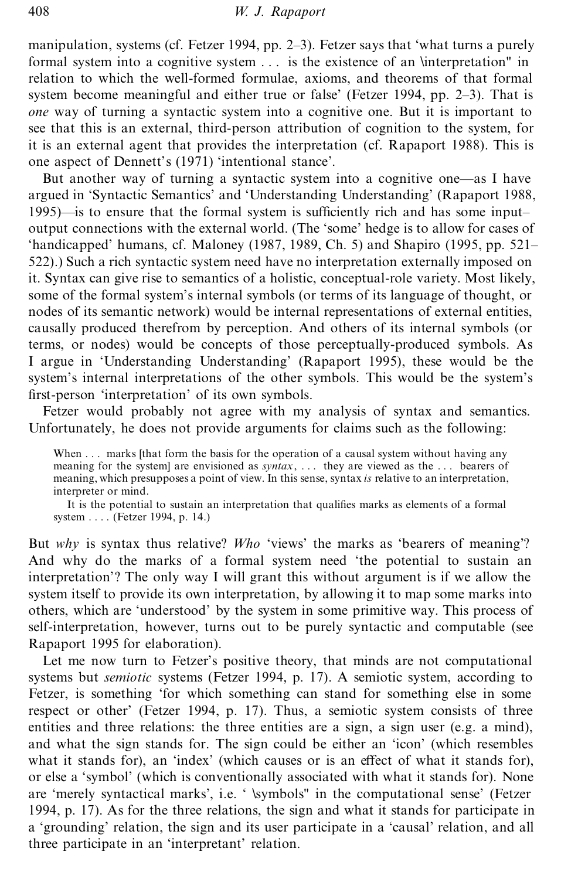manipulation, systems (cf. Fetzer 1994, pp. 2 $-3$ ). Fetzer says that 'what turns a purely formal system into a cognitive system ... is the existence of an \interpretation" in relation to which the well-formed formulae, axioms, and theorems of that formal system become meaningful and either true or false' (Fetzer 1994, pp.  $2-3$ ). That is *one* way of turning a syntactic system into a cognitive one. But it is important to see that this is an external, third-person attribution of cognition to the system, for it is an external agent that provides the interpretation (cf. Rapaport 1988). This is one aspect of Dennett's  $(1971)$  'intentional stance'.

But another way of turning a syntactic system into a cognitive one—as I have argued in `Syntactic Semantics' and `Understanding Understanding' (Rapaport 1988,  $1995$ —is to ensure that the formal system is sufficiently rich and has some inputoutput connections with the external world. (The `some' hedge is to allow for cases of 'handicapped' humans, cf. Maloney (1987, 1989, Ch. 5) and Shapiro (1995, pp.  $521-$ 522).) Such a rich syntactic system need have no interpretation externally imposed on it. Syntax can give rise to semantics of a holistic, conceptual-role variety. Most likely, some of the formal system's internal symbols (or terms of its language of thought, or nodes of its semantic network) would be internal representations of external entities, causally produced therefrom by perception. And others of its internal symbols (or terms, or nodes) would be concepts of those perceptually-produced symbols. As I argue in `Understanding Understanding' (Rapaport 1995), these would be the system's internal interpretations of the other symbols. This would be the system's first-person 'interpretation' of its own symbols.

Fetzer would probably not agree with my analysis of syntax and semantics. Unfortunately, he does not provide arguments for claims such as the following:

When ... marks [that form the basis for the operation of a causal system without having any meaning for the system] are envisioned as *syntax*, . . . they are viewed as the . . . bearers of meaning, which presupposes a point of view. In this sense, syntax *is* relative to an interpretation, interpreter or mind.

It is the potential to sustain an interpretation that qualifies marks as elements of a formal system . . . . (Fetzer 1994, p. 14.)

But *why* is syntax thus relative? *Who* 'views' the marks as 'bearers of meaning'? And why do the marks of a formal system need 'the potential to sustain an interpretation'? The only way I will grant this without argument is if we allow the system itself to provide its own interpretation, by allowing it to map some marks into others, which are `understood' by the system in some primitive way. This process of self-interpretation, however, turns out to be purely syntactic and computable (see Rapaport 1995 for elaboration).

Let me now turn to Fetzer's positive theory, that minds are not computational systems but *semiotic* systems (Fetzer 1994, p. 17). A semiotic system, according to Fetzer, is something 'for which something can stand for something else in some respect or other' (Fetzer 1994, p. 17). Thus, a semiotic system consists of three entities and three relations: the three entities are a sign, a sign user (e.g. a mind), and what the sign stands for. The sign could be either an `icon' (which resembles what it stands for), an 'index' (which causes or is an effect of what it stands for), or else a `symbol' (which is conventionally associated with what it stands for). None are `merely syntactical marks', i.e. ` \symbols" in the computational sense' (Fetzer 1994, p. 17). As for the three relations, the sign and what it stands for participate in a 'grounding' relation, the sign and its user participate in a 'causal' relation, and all three participate in an `interpretant' relation.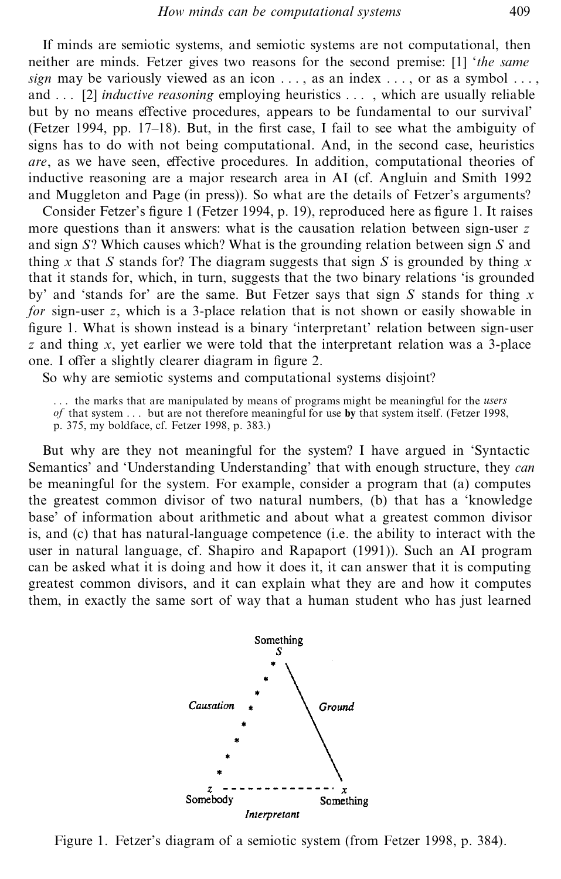If minds are semiotic systems, and semiotic systems are not computational, then neither are minds. Fetzer gives two reasons for the second premise: [1] `*the same sign* may be variously viewed as an icon  $\dots$ , as an index  $\dots$ , or as a symbol  $\dots$ , and . . . [2] *inductive reasoning* employing heuristics . . . , which are usually reliable but by no means effective procedures, appears to be fundamental to our survival' (Fetzer 1994, pp. 17 $-18$ ). But, in the first case, I fail to see what the ambiguity of signs has to do with not being computational. And, in the second case, heuristics *are*, as we have seen, effective procedures. In addition, computational theories of inductive reasoning are a major research area in AI (cf. Angluin and Smith 1992 and Muggleton and Page (in press)). So what are the details of Fetzer's arguments?

Consider Fetzer's figure 1 (Fetzer 1994, p. 19), reproduced here as figure 1. It raises more questions than it answers: what is the causation relation between sign-user *z* and sign *S*? Which causes which? What is the grounding relation between sign *S* and thing *x* that *S* stands for? The diagram suggests that sign *S* is grounded by thing *x* that it stands for, which, in turn, suggests that the two binary relations `is grounded by' and `stands for' are the same. But Fetzer says that sign *S* stands for thing *x for* sign-user *z*, which is a 3-place relation that is not shown or easily showable in figure 1. What is shown instead is a binary 'interpretant' relation between sign-user *z* and thing *x*, yet earlier we were told that the interpretant relation was a 3-place one. I offer a slightly clearer diagram in figure 2.

So why are semiotic systems and computational systems disjoint?

. . . the marks that are manipulated by means of programs might be meaningful for the *users of* that system . . . but are not therefore meaningful for use **by** that system itself. (Fetzer 1998, p. 375, my boldface, cf. Fetzer 1998, p. 383.)

But why are they not meaningful for the system? I have argued in `Syntactic Semantics' and `Understanding Understanding' that with enough structure, they *can* be meaningful for the system. For example, consider a program that (a) computes the greatest common divisor of two natural numbers, (b) that has a `knowledge base' of information about arithmetic and about what a greatest common divisor is, and (c) that has natural-language competence (i.e. the ability to interact with the user in natural language, cf. Shapiro and Rapaport (1991)). Such an AI program can be asked what it is doing and how it does it, it can answer that it is computing greatest common divisors, and it can explain what they are and how it computes them, in exactly the same sort of way that a human student who has just learned



Figure 1. Fetzer's diagram of a semiotic system (from Fetzer 1998, p. 384).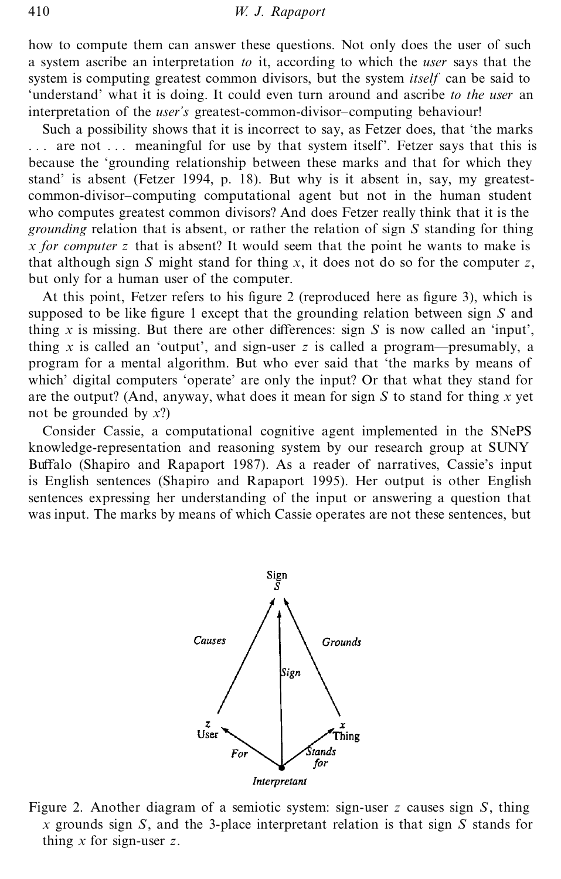how to compute them can answer these questions. Not only does the user of such a system ascribe an interpretation *to* it, according to which the *user* says that the system is computing greatest common divisors, but the system *itself* can be said to `understand' what it is doing. It could even turn around and ascribe *to the user* an interpretation of the *user's* greatest-common-divisor-computing behaviour!

Such a possibility shows that it is incorrect to say, as Fetzer does, that 'the marks' ... are not ... meaningful for use by that system itself'. Fetzer says that this is because the `grounding relationship between these marks and that for which they stand' is absent (Fetzer 1994, p. 18). But why is it absent in, say, my greatestcommon-divisor-computing computational agent but not in the human student who computes greatest common divisors? And does Fetzer really think that it is the *grounding* relation that is absent, or rather the relation of sign *S* standing for thing *x for computer z* that is absent? It would seem that the point he wants to make is that although sign *S* might stand for thing *x*, it does not do so for the computer *z*, but only for a human user of the computer.

At this point, Fetzer refers to his figure 2 (reproduced here as figure 3), which is supposed to be like figure 1 except that the grounding relation between sign  $S$  and thing *x* is missing. But there are other differences: sign *S* is now called an 'input', thing *x* is called an 'output', and sign-user *z* is called a program—presumably, a program for a mental algorithm. But who ever said that `the marks by means of which' digital computers 'operate' are only the input? Or that what they stand for are the output? (And, anyway, what does it mean for sign *S* to stand for thing *x* yet not be grounded by *x*?)

Consider Cassie, a computational cognitive agent implemented in the SNePS knowledge-representation and reasoning system by our research group at SUNY Buffalo (Shapiro and Rapaport 1987). As a reader of narratives, Cassie's input is English sentences (Shapiro and Rapaport 1995). Her output is other English sentences expressing her understanding of the input or answering a question that was input. The marks by means of which Cassie operates are not these sentences, but



Figure 2. Another diagram of a semiotic system: sign-user *z* causes sign *S*, thing *x* grounds sign *S*, and the 3-place interpretant relation is that sign *S* stands for thing *x* for sign-user *z*.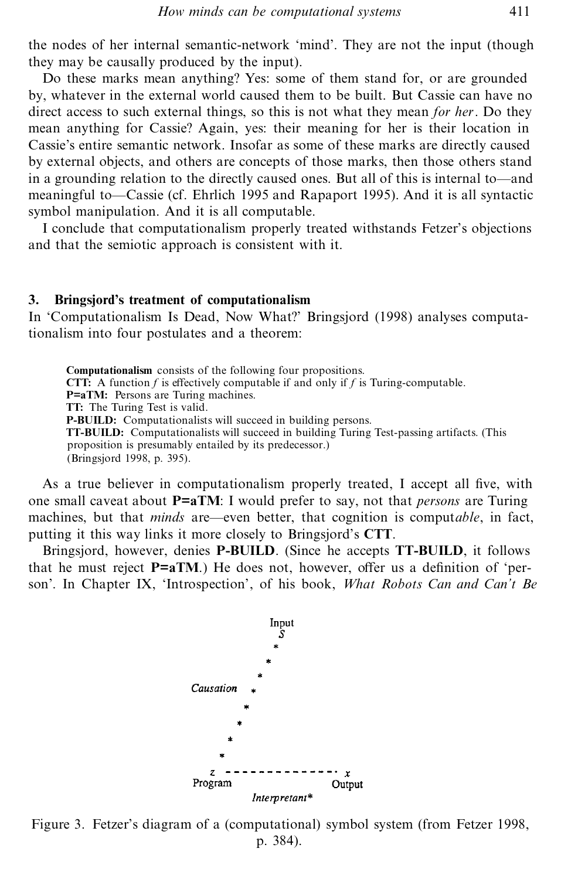the nodes of her internal semantic-network `mind'. They are not the input (though they may be causally produced by the input).

Do these marks mean anything? Yes: some of them stand for, or are grounded by, whatever in the external world caused them to be built. But Cassie can have no direct access to such external things, so this is not what they mean *for her*. Do they mean anything for Cassie? Again, yes: their meaning for her is their location in Cassie's entire semantic network. Insofar as some of these marks are directly caused by external objects, and others are concepts of those marks, then those others stand in a grounding relation to the directly caused ones. But all of this is internal to—and meaningful to—Cassie (cf. Ehrlich 1995 and Rapaport 1995). And it is all syntactic symbol manipulation. And it is all computable.

I conclude that computationalism properly treated withstands Fetzer's objections and that the semiotic approach is consistent with it.

### **3. Bringsjord's treatment of computationalism**

In 'Computationalism Is Dead, Now What?' Bringsjord (1998) analyses computationalism into four postulates and a theorem:

**Computationalism** consists of the following four propositions. **CTT:** A function  $f$  is effectively computable if and only if  $f$  is Turing-computable. **P=aTM:** Persons are Turing machines. **TT:** The Turing Test is valid. **P-BUILD:** Computationalists will succeed in building persons. **TT-BUILD:** Computationalists will succeed in building Turing Test-passing artifacts. (This proposition is presumably entailed by its predecessor.) (Bringsjord 1998, p. 395).

As a true believer in computationalism properly treated, I accept all five, with one small caveat about **P=aTM**: I would prefer to say, not that *persons* are Turing machines, but that *minds* are—even better, that cognition is computable, in fact, putting it this way links it more closely to Bringsjord's **CTT**.

Bringsjord, however, denies **P-BUILD**. (Since he accepts **TT-BUILD**, it follows that he must reject  $P=aTM$ .) He does not, however, offer us a definition of 'person'. In Chapter IX, 'Introspection', of his book, What Robots Can and Can't Be



Figure 3. Fetzer's diagram of a (computational) symbol system (from Fetzer 1998, p. 384).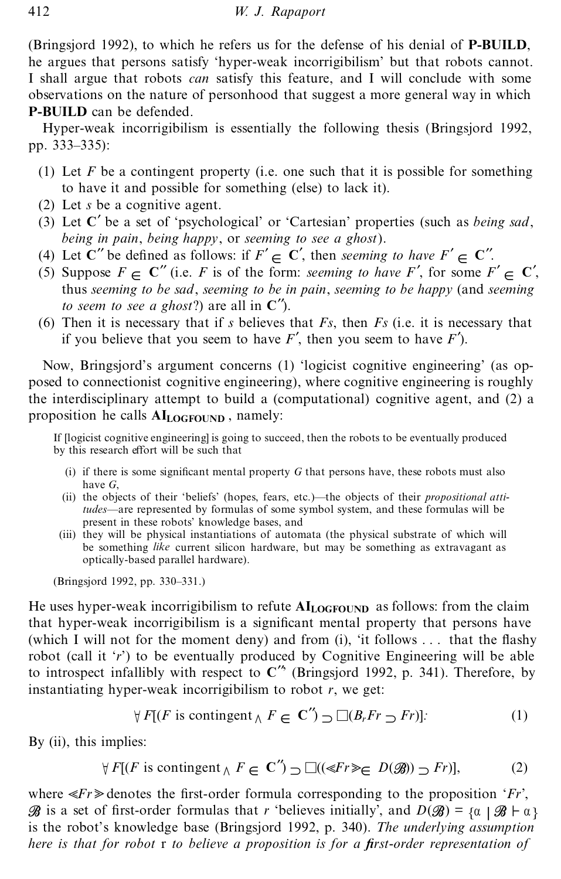(Bringsjord 1992), to which he refers us for the defense of his denial of **P-BUILD**, he argues that persons satisfy `hyper-weak incorrigibilism' but that robots cannot. I shall argue that robots *can* satisfy this feature, and I will conclude with some observations on the nature of personhood that suggest a more general way in which **P-BUILD** can be defended.

Hyper-weak incorrigibilism is essentially the following thesis (Bringsjord 1992, pp. 333–335):

- (1) Let *F* be a contingent property (i.e. one such that it is possible for something to have it and possible for something (else) to lack it).
- (2) Let *s* be a cognitive agent.
- (3) Let **C**¢ be a set of `psychological' or `Cartesian' properties (such as *being sad*, *being in pain*, *being happy*, or *seeming to see a ghost*).
- (4) Let  $\mathbf{C}''$  be defined as follows: if  $F' \in \mathbf{C}'$ , then *seeming* to have  $F' \in \mathbf{C}''$ .
- (5) Suppose  $F \in \mathbb{C}^n$  (i.e. *F* is of the form: *seeming to have F'*, for some  $F' \in \mathbb{C}^n$ , thus *seeming to be sad*, *seeming to be in pain*, *seeming to be happy* (and *seeming to seem to see a ghost*?) are all in  $\mathbb{C}^n$ .
- (6) Then it is necessary that if *s* believes that *Fs*, then *Fs* (i.e. it is necessary that if you believe that you seem to have  $F'$ , then you seem to have  $F'$ ).

Now, Bringsjord's argument concerns (1) 'logicist cognitive engineering' (as opposed to connectionist cognitive engineering), where cognitive engineering is roughly the interdisciplinary attempt to build a (computational) cognitive agent, and (2) a proposition he calls **AILOGFOUND** , namely:

If [logicist cognitive engineering] is going to succeed, then the robots to be eventually produced by this research effort will be such that

- (i) if there is some significant mental property  $G$  that persons have, these robots must also have *G*,
- (ii) the objects of their 'beliefs' (hopes, fears, etc.)—the objects of their *propositional attitudes*—are represented by formulas of some symbol system, and these formulas will be present in these robots' knowledge bases, and
- (iii) they will be physical instantiations of automata (the physical substrate of which will be something *like* current silicon hardware, but may be something as extravagant as optically-based parallel hardware).

(Bringsjord 1992, pp. 330-331.)

He uses hyper-weak incorrigibilism to refute **AILOGFOUND** as follows: from the claim that hyper-weak incorrigibilism is a significant mental property that persons have (which I will not for the moment deny) and from (i),  $i$ t follows ... that the flashy robot (call it '*r*') to be eventually produced by Cognitive Engineering will be able to introspect infallibly with respect to  $C''$ <sup>\*</sup> (Bringsjord 1992, p. 341). Therefore, by instantiating hyper-weak incorrigibilism to robot *r*, we get:

$$
\forall F[(F \text{ is contingent} \land F \in \mathbf{C}')] \supset \Box(B_r Fr \supset Fr)]. \tag{1}
$$

By (ii), this implies:

$$
\forall F[(F \text{ is contingent} \land F \in \mathbf{C}') \supset \Box((\ll Fr \gg \in D(\mathcal{B})) \supset Fr)],\tag{2}
$$

where  $\ll F$  benotes the first-order formula corresponding to the proposition '*Fr*',  $\mathscr{B}$  is a set of first-order formulas that *r* 'believes initially', and  $D(\mathscr{B}) = \{ \alpha \mid \mathscr{B} \vdash \alpha \}$ is the robot's knowledge base (Bringsjord 1992, p. 340). *The underlying assumption here is that for robot* r *to believe a proposition is for a ®rst-order representation of*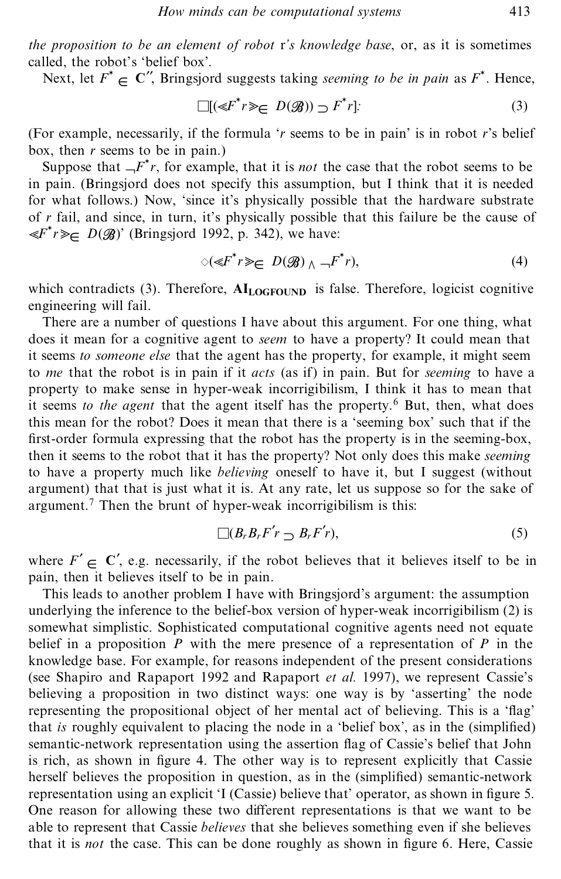*the proposition to be an element of robot* r*'s knowledge base*, or, as it is sometimes called, the robot's `belief box'.

Next, let  $F^* \in \mathbb{C}$ , Bringsjord suggests taking *seeming to be in pain* as  $F^*$ . Hence,

$$
\Box[(\llcorner F^*r \gg \in D(\mathcal{B})) \supset F^*r]. \tag{3}
$$

(For example, necessarily, if the formula `*r* seems to be in pain' is in robot *r*'s belief box, then *r* seems to be in pain.)

Suppose that  $-F^*r$ , for example, that it is *not* the case that the robot seems to be in pain. (Bringsjord does not specify this assumption, but I think that it is needed for what follows.) Now, 'since it's physically possible that the hardware substrate of *r* fail, and since, in turn, it's physically possible that this failure be the cause of  $\ll F^*$  *P* $\gtrsim$  *D*( $\mathcal{B}$ )' (Bringsjord 1992, p. 342), we have:

$$
\Diamond (\ll F^*r \gg_{\mathsf{E}} D(\mathcal{B}) \land \neg F^*r), \tag{4}
$$

which contradicts (3). Therefore, **AI**<sub>LOGFOUND</sub> is false. Therefore, logicist cognitive engineering will fail.

There are a number of questions I have about this argument. For one thing, what does it mean for a cognitive agent to *seem* to have a property? It could mean that it seems *to someone else* that the agent has the property, for example, it might seem to *me* that the robot is in pain if it *acts* (as if) in pain. But for *seeming* to have a property to make sense in hyper-weak incorrigibilism, I think it has to mean that it seems *to the agent* that the agent itself has the property.<sup>6</sup> But, then, what does this mean for the robot? Does it mean that there is a `seeming box' such that if the first-order formula expressing that the robot has the property is in the seeming-box, then it seems to the robot that it has the property? Not only does this make *seeming* to have a property much like *believing* oneself to have it, but I suggest (without argument) that that is just what it is. At any rate, let us suppose so for the sake of argument.<sup>7</sup> Then the brunt of hyper-weak incorrigibilism is this:

$$
\Box (B_r B_r F' r \supset B_r F' r), \qquad (5)
$$

where  $F' \in \mathbb{C}'$ , e.g. necessarily, if the robot believes that it believes itself to be in pain, then it believes itself to be in pain.

This leads to another problem I have with Bringsjord's argument: the assumption underlying the inference to the belief-box version of hyper-weak incorrigibilism  $(2)$  is somewhat simplistic. Sophisticated computational cognitive agents need not equate belief in a proposition *P* with the mere presence of a representation of *P* in the knowledge base. For example, for reasons independent of the present considerations (see Shapiro and Rapaport 1992 and Rapaport *et al.* 1997), we represent Cassie's believing a proposition in two distinct ways: one way is by `asserting' the node representing the propositional object of her mental act of believing. This is a 'flag' that *is* roughly equivalent to placing the node in a 'belief box', as in the (simplified) semantic-network representation using the assertion flag of Cassie's belief that John is rich, as shown in figure 4. The other way is to represent explicitly that Cassie herself believes the proposition in question, as in the  $(simplified)$  semantic-network representation using an explicit  $I$  (Cassie) believe that' operator, as shown in figure 5. One reason for allowing these two different representations is that we want to be able to represent that Cassie *believes* that she believes something even if she believes that it is *not* the case. This can be done roughly as shown in figure 6. Here, Cassie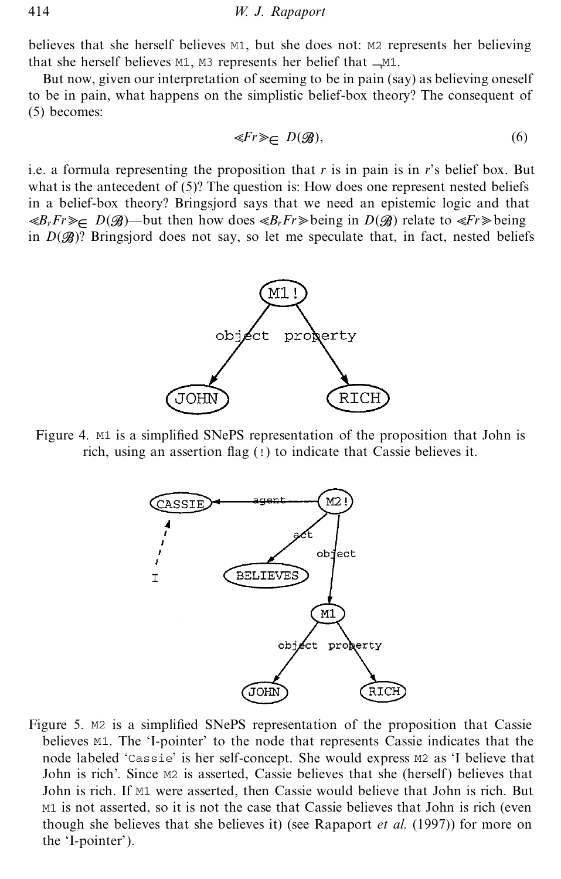believes that she herself believes M1, but she does not: M2 represents her believing that she herself believes  $M1$ ,  $M3$  represents her belief that  $-M1$ .

But now, given our interpretation of seeming to be in pain (say) as believing oneself to be in pain, what happens on the simplistic belief-box theory? The consequent of (5) becomes:

$$
\llbracket Fr \gg_{\leftarrow} D(\mathcal{B}),\tag{6}
$$

i.e. a formula representing the proposition that *r* is in pain is in *r*'s belief box. But what is the antecedent of (5)? The question is: How does one represent nested beliefs in a belief-box theory? Bringsjord says that we need an epistemic logic and that  $\ll B_f$ *Fr* $\gtrsim$  *D*( $\mathcal{B}$ )—but then how does  $\ll B_f$ *Fr* $\gg$  being in *D*( $\mathcal{B}$ ) relate to  $\ll F$ *r* $\gg$  being in  $D(\mathscr{B})$ ? Bringsjord does not say, so let me speculate that, in fact, nested beliefs



Figure 4. M1 is a simplified SNePS representation of the proposition that John is rich, using an assertion flag (!) to indicate that Cassie believes it.



Figure 5.  $M2$  is a simplified SNePS representation of the proposition that Cassie believes M1. The `I-pointer' to the node that represents Cassie indicates that the node labeled `Cassie' is her self-concept. She would express M2 as `I believe that John is rich'. Since M2 is asserted, Cassie believes that she (herself) believes that John is rich. If M1 were asserted, then Cassie would believe that John is rich. But M1 is not asserted, so it is not the case that Cassie believes that John is rich (even though she believes that she believes it) (see Rapaport *et al.* (1997)) for more on the 'I-pointer').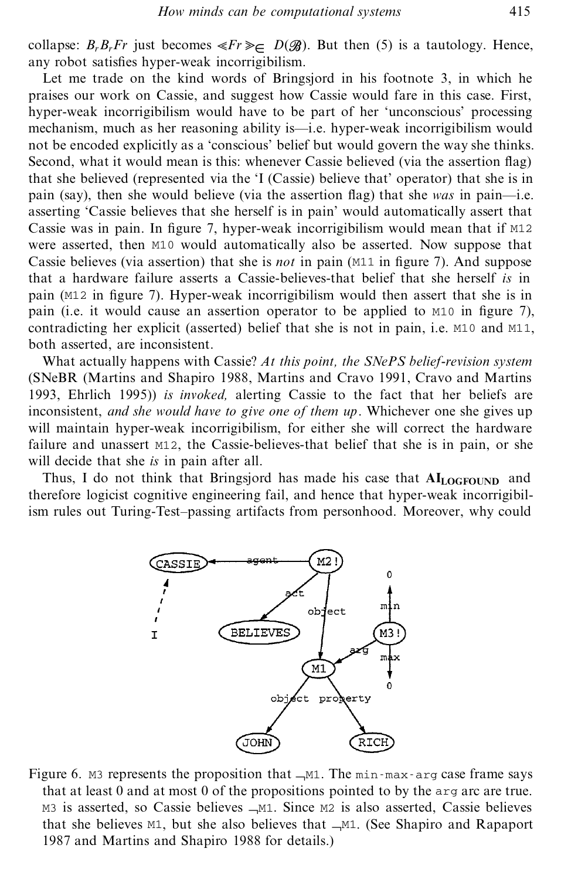collapse:  $B_r B_r F r$  just becomes  $\ll F r \gg \subset D(\mathcal{B})$ . But then (5) is a tautology. Hence, any robot satisfies hyper-weak incorrigibilism.

Let me trade on the kind words of Bringsjord in his footnote 3, in which he praises our work on Cassie, and suggest how Cassie would fare in this case. First, hyper-weak incorrigibilism would have to be part of her `unconscious' processing mechanism, much as her reasoning ability is—i.e. hyper-weak incorrigibilism would not be encoded explicitly as a `conscious' belief but would govern the way she thinks. Second, what it would mean is this: whenever Cassie believed (via the assertion flag) that she believed (represented via the `I (Cassie) believe that' operator) that she is in pain (say), then she would believe (via the assertion flag) that she *was* in pain—i.e. asserting `Cassie believes that she herself is in pain' would automatically assert that Cassie was in pain. In figure 7, hyper-weak incorrigibilism would mean that if  $M12$ were asserted, then M10 would automatically also be asserted. Now suppose that Cassie believes (via assertion) that she is *not* in pain (M11 in figure 7). And suppose that a hardware failure asserts a Cassie-believes-that belief that she herself *is* in pain ( $M12$  in figure 7). Hyper-weak incorrigibilism would then assert that she is in pain (i.e. it would cause an assertion operator to be applied to  $M10$  in figure 7), contradicting her explicit (asserted) belief that she is not in pain, i.e. M10 and M11, both asserted, are inconsistent.

What actually happens with Cassie? *At this point, the SNePS belief-revision system* (SNeBR (Martins and Shapiro 1988, Martins and Cravo 1991, Cravo and Martins 1993, Ehrlich 1995)) *is invoked,* alerting Cassie to the fact that her beliefs are inconsistent, *and she would have to give one of them up*. Whichever one she gives up will maintain hyper-weak incorrigibilism, for either she will correct the hardware failure and unassert M12, the Cassie-believes-that belief that she is in pain, or she will decide that she *is* in pain after all.

Thus, I do not think that Bringsjord has made his case that **AILOGFOUND** and therefore logicist cognitive engineering fail, and hence that hyper-weak incorrigibilism rules out Turing-Test-passing artifacts from personhood. Moreover, why could



Figure 6. M3 represents the proposition that  $-M1$ . The min-max-arg case frame says that at least 0 and at most 0 of the propositions pointed to by the arg arc are true. M3 is asserted, so Cassie believes -M1. Since M2 is also asserted, Cassie believes that she believes  $M1$ , but she also believes that  $-M1$ . (See Shapiro and Rapaport 1987 and Martins and Shapiro 1988 for details.)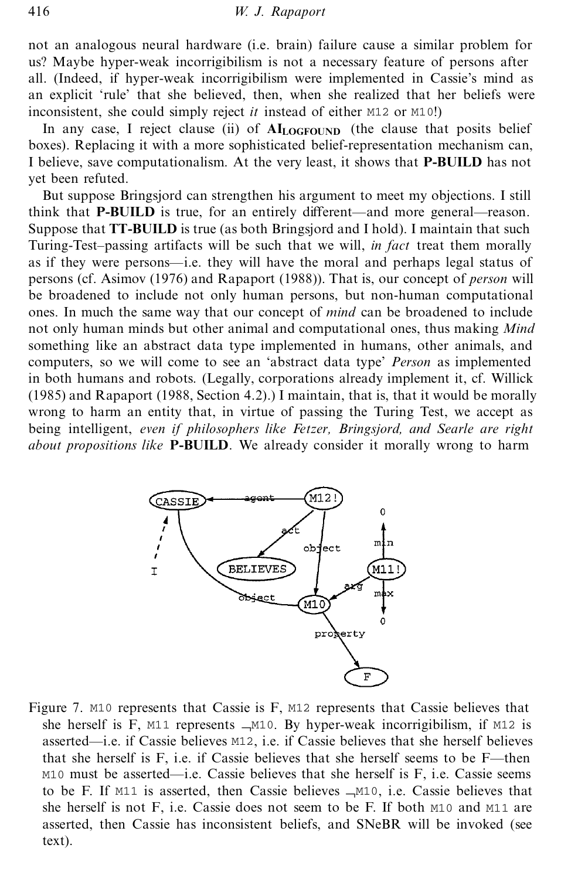not an analogous neural hardware (i.e. brain) failure cause a similar problem for us? Maybe hyper-weak incorrigibilism is not a necessary feature of persons after all. (Indeed, if hyper-weak incorrigibilism were implemented in Cassie's mind as an explicit `rule' that she believed, then, when she realized that her beliefs were inconsistent, she could simply reject *it* instead of either M12 or M10!)

In any case, I reject clause (ii) of **AI**<sub>LOGFOUND</sub> (the clause that posits belief boxes). Replacing it with a more sophisticated belief-representation mechanism can, I believe, save computationalism. At the very least, it shows that **P-BUILD** has not yet been refuted.

But suppose Bringsjord can strengthen his argument to meet my objections. I still think that **P-BUILD** is true, for an entirely different—and more general—reason. Suppose that **TT-BUILD** is true (as both Bringsjord and I hold). I maintain that such Turing-Test-passing artifacts will be such that we will, *in fact* treat them morally as if they were persons—i.e. they will have the moral and perhaps legal status of persons (cf. Asimov (1976) and Rapaport (1988)). That is, our concept of *person* will be broadened to include not only human persons, but non-human computational ones. In much the same way that our concept of *mind* can be broadened to include not only human minds but other animal and computational ones, thus making *Mind* something like an abstract data type implemented in humans, other animals, and computers, so we will come to see an `abstract data type' *Person* as implemented in both humans and robots. (Legally, corporations already implement it, cf. Willick (1985) and Rapaport (1988, Section 4.2).) I maintain, that is, that it would be morally wrong to harm an entity that, in virtue of passing the Turing Test, we accept as being intelligent, *even if philosophers like Fetzer, Bringsjord, and Searle are right about propositions like* **P-BUILD**. We already consider it morally wrong to harm



Figure 7. M10 represents that Cassie is F, M12 represents that Cassie believes that she herself is F,  $M11$  represents  $-M10$ . By hyper-weak incorrigibilism, if  $M12$  is asserted—i.e. if Cassie believes  $M12$ , i.e. if Cassie believes that she herself believes that she herself is  $F$ , i.e. if Cassie believes that she herself seems to be  $F$ —then  $M10$  must be asserted—i.e. Cassie believes that she herself is F, i.e. Cassie seems to be F. If M11 is asserted, then Cassie believes  $-M10$ , i.e. Cassie believes that she herself is not F, i.e. Cassie does not seem to be F. If both M10 and M11 are asserted, then Cassie has inconsistent beliefs, and SNeBR will be invoked (see text).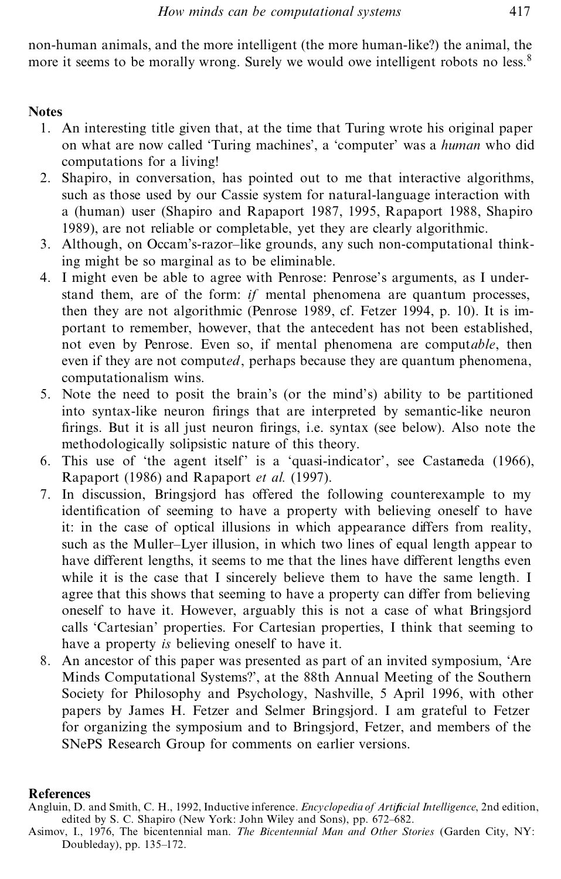non-human animals, and the more intelligent (the more human-like?) the animal, the more it seems to be morally wrong. Surely we would owe intelligent robots no less.<sup>8</sup>

## **Notes**

- 1. An interesting title given that, at the time that Turing wrote his original paper on what are now called `Turing machines', a `computer' was a *human* who did computations for a living!
- 2. Shapiro, in conversation, has pointed out to me that interactive algorithms, such as those used by our Cassie system for natural-language interaction with a (human) user (Shapiro and Rapaport 1987, 1995, Rapaport 1988, Shapiro 1989), are not reliable or completable, yet they are clearly algorithmic.
- 3. Although, on Occam's-razor-like grounds, any such non-computational thinking might be so marginal as to be eliminable.
- 4. I might even be able to agree with Penrose: Penrose's arguments, as I understand them, are of the form: *if* mental phenomena are quantum processes, then they are not algorithmic (Penrose 1989, cf. Fetzer 1994, p. 10). It is important to remember, however, that the antecedent has not been established, not even by Penrose. Even so, if mental phenomena are comput*able*, then even if they are not comput*ed*, perhaps because they are quantum phenomena, computationalism wins.
- 5. Note the need to posit the brain's (or the mind's) ability to be partitioned into syntax-like neuron firings that are interpreted by semantic-like neuron firings. But it is all just neuron firings, i.e. syntax (see below). Also note the methodologically solipsistic nature of this theory.
- 6. This use of 'the agent itself' is a 'quasi-indicator', see Castaneda  $(1966)$ , Rapaport (1986) and Rapaport *et al.* (1997).
- 7. In discussion, Bringsjord has offered the following counterexample to my identification of seeming to have a property with believing oneself to have it: in the case of optical illusions in which appearance differs from reality, such as the Muller-Lyer illusion, in which two lines of equal length appear to have different lengths, it seems to me that the lines have different lengths even while it is the case that I sincerely believe them to have the same length. I agree that this shows that seeming to have a property can differ from believing oneself to have it. However, arguably this is not a case of what Bringsjord calls `Cartesian' properties. For Cartesian properties, I think that seeming to have a property *is* believing oneself to have it.
- 8. An ancestor of this paper was presented as part of an invited symposium, `Are Minds Computational Systems?', at the 88th Annual Meeting of the Southern Society for Philosophy and Psychology, Nashville, 5 April 1996, with other papers by James H. Fetzer and Selmer Bringsjord. I am grateful to Fetzer for organizing the symposium and to Bringsjord, Fetzer, and members of the SNePS Research Group for comments on earlier versions.

## **References**

- Angluin, D. and Smith, C. H., 1992, Inductive inference. *Encyclopedia of Artificial Intelligence*, 2nd edition, edited by S. C. Shapiro (New York: John Wiley and Sons), pp. 672-682.
- Asimov, I., 1976, The bicentennial man. *The Bicentennial Man and Other Stories* (Garden City, NY: Doubleday), pp. 135-172.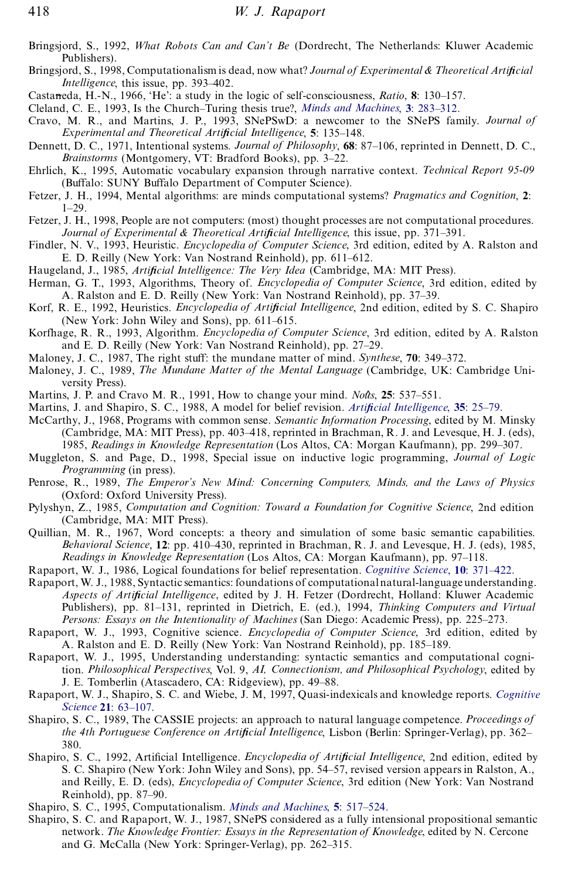- Bringsjord, S., 1992, *What Robots Can and Can't Be* (Dordrecht, The Netherlands: Kluwer Academic Publishers).
- Bringsjord, S., 1998, Computationalism is dead, now what? *Journal of Experimental* & Theoretical Artificial *Intelligence*, this issue, pp. 393-402.
- Castaneda, H.-N., 1966, 'He': a study in the logic of self-consciousness, *Ratio*, **8**: 130–157.
- Cleland, C. E., 1993, Is the Church±Turing thesis true?, *Minds and [Machines](http://www.ingentaselect.com/rpsv/cgi-bin/linker?ext=a&reqidx=/0924-6495^28^293L.283[mcbca=0])*, **3**: 283±312.
- Cravo, M. R., and Martins, J. P., 1993, SNePSwD: a newcomer to the SNePS family. *Journal of Experimental and Theoretical Artificial Intelligence*, 5: 135–148.
- Dennett, D. C., 1971, Intentional systems. *Journal of Philosophy*, 68: 87–106, reprinted in Dennett, D. C., *Brainstorms* (Montgomery, VT: Bradford Books), pp. 3–22.
- Ehrlich, K., 1995, Automatic vocabulary expansion through narrative context. *Technical Report 95-09* (Buffalo: SUNY Buffalo Department of Computer Science).
- Fetzer, J. H., 1994, Mental algorithms: are minds computational systems? *Pragmatics and Cognition*, **2**:  $1-29$ .
- Fetzer, J. H., 1998, People are not computers: (most) thought processes are not computational procedures. *Journal of Experimental & Theoretical Artificial Intelligence, this issue, pp. 371–391.*
- Findler, N. V., 1993, Heuristic. *Encyclopedia of Computer Science*, 3rd edition, edited by A. Ralston and E. D. Reilly (New York: Van Nostrand Reinhold), pp. 611–612.
- Haugeland, J., 1985, *Artificial Intelligence: The Very Idea* (Cambridge, MA: MIT Press).
- Herman, G. T., 1993, Algorithms, Theory of. *Encyclopedia of Computer Science*, 3rd edition, edited by A. Ralston and E. D. Reilly (New York: Van Nostrand Reinhold), pp. 37–39.
- Korf, R. E., 1992, Heuristics. *Encyclopedia of Artificial Intelligence*, 2nd edition, edited by S. C. Shapiro (New York: John Wiley and Sons), pp.  $611-615$ .
- Korfhage, R. R., 1993, Algorithm. *Encyclopedia of Computer Science*, 3rd edition, edited by A. Ralston and E. D. Reilly (New York: Van Nostrand Reinhold), pp. 27–29.
- Maloney, J. C., 1987, The right stuff: the mundane matter of mind. *Synthese*, 70: 349-372.
- Maloney, J. C., 1989, *The Mundane Matter of the Mental Language* (Cambridge, UK: Cambridge University Press).
- Martins, J. P. and Cravo M. R., 1991, How to change your mind. *Notes*, **25**: 537–551.
- Martins, J. and Shapiro, S. C., 1988, A model for belief revision. *Artificial [Intelligence](http://www.ingentaselect.com/rpsv/cgi-bin/linker?ext=a&reqidx=/0004-3702^28^2935L.25[aid=732088,csa=0004-3702^26vol=35^26iss=1^26firstpage=25])*, 35: 25–79.
- McCarthy, J., 1968, Programs with common sense. *Semantic Information Processing*, edited by M. Minsky (Cambridge, MA: MIT Press), pp. 403–418, reprinted in Brachman, R. J. and Levesque, H. J. (eds), 1985, *Readings in Knowledge Representation* (Los Altos, CA: Morgan Kaufmann), pp. 299–307.
- Muggleton, S. and Page, D., 1998, Special issue on inductive logic programming, *Journal of Logic Programming* (in press).
- Penrose, R., 1989, *The Emperor's New Mind: Concerning Computers, Minds, and the Laws of Physics* (Oxford: Oxford University Press).
- Pylyshyn, Z., 1985, *Computation and Cognition: Toward a Foundation for Cognitive Science*, 2nd edition (Cambridge, MA: MIT Press).
- Quillian, M. R., 1967, Word concepts: a theory and simulation of some basic semantic capabilities. *Behavioral Science*, 12: pp. 410–430, reprinted in Brachman, R. J. and Levesque, H. J. (eds), 1985, *Readings in Knowledge Representation* (Los Altos, CA: Morgan Kaufmann), pp. 97-118.
- Rapaport, W. J., 1986, Logical foundations for belief representation. *[Cognitive](http://www.ingentaselect.com/rpsv/cgi-bin/linker?ext=a&reqidx=/0364-0213^28^2910L.371[mcbca=0]) Science*, **10**: 371±422.
- Rapaport, W. J., 1988, Syntactic semantics: foundations of computational natural-language understanding. *Aspects of Artificial Intelligence*, edited by J. H. Fetzer (Dordrecht, Holland: Kluwer Academic Publishers), pp. 81±131, reprinted in Dietrich, E. (ed.), 1994, *Thinking Computers and Virtual Persons: Essays on the Intentionality of Machines* (San Diego: Academic Press), pp. 225–273.
- Rapaport, W. J., 1993, Cognitive science. *Encyclopedia of Computer Science*, 3rd edition, edited by A. Ralston and E. D. Reilly (New York: Van Nostrand Reinhold), pp. 185-189.
- Rapaport, W. J., 1995, Understanding understanding: syntactic semantics and computational cognition. *Philosophical Perspectives*, Vol. 9, *AI, Connectionism, and Philosophical Psychology*, edited by J. E. Tomberlin (Atascadero, CA: Ridgeview), pp. 49–88.
- Rapaport, W. J., Shapiro, S. C. and Wiebe, J. M, 1997, Quasi-indexicals and knowledge reports. *[Cognitive](http://www.ingentaselect.com/rpsv/cgi-bin/linker?ext=a&reqidx=/0364-0213^28^2921L.63[aid=732090,mcbca=0]) Science* **21**: 63-107.
- Shapiro, S. C., 1989, The CASSIE projects: an approach to natural language competence. *Proceedings of the* 4th *Portuguese Conference on Artificial Intelligence*, Lisbon (Berlin: Springer-Verlag), pp. 362– 380.
- Shapiro, S. C., 1992, Artificial Intelligence. *Encyclopedia of Artificial Intelligence*, 2nd edition, edited by S. C. Shapiro (New York: John Wiley and Sons), pp. 54–57, revised version appears in Ralston, A., and Reilly, E. D. (eds), *Encyclopedia of Computer Science*, 3rd edition (New York: Van Nostrand Reinhold), pp. 87-90.
- Shapiro, S. C., 1995, Computationalism. *Minds and [Machines](http://www.ingentaselect.com/rpsv/cgi-bin/linker?ext=a&reqidx=/0924-6495^28^295L.517[mcbca=0])*, 5: 517-524.
- Shapiro, S. C. and Rapaport, W. J., 1987, SNePS considered as a fully intensional propositional semantic network. *The Knowledge Frontier: Essays in the Representation of Knowledge*, edited by N. Cercone and G. McCalla (New York: Springer-Verlag), pp. 262-315.